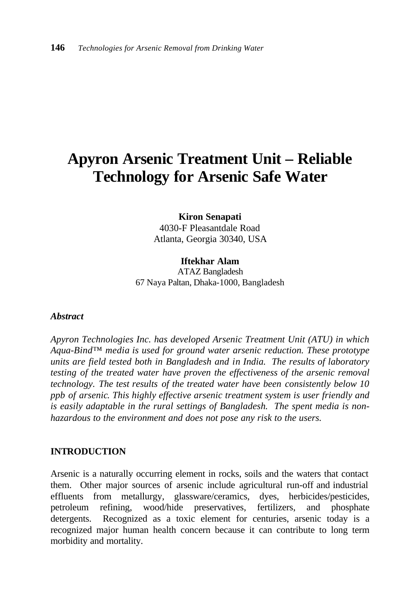# **Apyron Arsenic Treatment Unit – Reliable Technology for Arsenic Safe Water**

**Kiron Senapati** 4030-F Pleasantdale Road Atlanta, Georgia 30340, USA

**Iftekhar Alam** ATAZ Bangladesh 67 Naya Paltan, Dhaka-1000, Bangladesh

#### *Abstract*

*Apyron Technologies Inc. has developed Arsenic Treatment Unit (ATU) in which Aqua-Bind™ media is used for ground water arsenic reduction. These prototype units are field tested both in Bangladesh and in India. The results of laboratory testing of the treated water have proven the effectiveness of the arsenic removal technology. The test results of the treated water have been consistently below 10 ppb of arsenic. This highly effective arsenic treatment system is user friendly and is easily adaptable in the rural settings of Bangladesh. The spent media is nonhazardous to the environment and does not pose any risk to the users.*

#### **INTRODUCTION**

Arsenic is a naturally occurring element in rocks, soils and the waters that contact them. Other major sources of arsenic include agricultural run-off and industrial effluents from metallurgy, glassware/ceramics, dyes, herbicides/pesticides, petroleum refining, wood/hide preservatives, fertilizers, and phosphate detergents. Recognized as a toxic element for centuries, arsenic today is a recognized major human health concern because it can contribute to long term morbidity and mortality.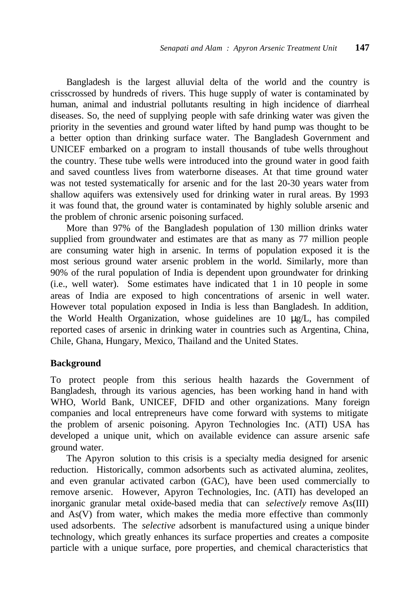Bangladesh is the largest alluvial delta of the world and the country is crisscrossed by hundreds of rivers. This huge supply of water is contaminated by human, animal and industrial pollutants resulting in high incidence of diarrheal diseases. So, the need of supplying people with safe drinking water was given the priority in the seventies and ground water lifted by hand pump was thought to be a better option than drinking surface water. The Bangladesh Government and UNICEF embarked on a program to install thousands of tube wells throughout the country. These tube wells were introduced into the ground water in good faith and saved countless lives from waterborne diseases. At that time ground water was not tested systematically for arsenic and for the last 20-30 years water from shallow aquifers was extensively used for drinking water in rural areas. By 1993 it was found that, the ground water is contaminated by highly soluble arsenic and the problem of chronic arsenic poisoning surfaced.

More than 97% of the Bangladesh population of 130 million drinks water supplied from groundwater and estimates are that as many as 77 million people are consuming water high in arsenic. In terms of population exposed it is the most serious ground water arsenic problem in the world. Similarly, more than 90% of the rural population of India is dependent upon groundwater for drinking (i.e., well water). Some estimates have indicated that 1 in 10 people in some areas of India are exposed to high concentrations of arsenic in well water. However total population exposed in India is less than Bangladesh. In addition, the World Health Organization, whose guidelines are 10 μg/L, has compiled reported cases of arsenic in drinking water in countries such as Argentina, China, Chile, Ghana, Hungary, Mexico, Thailand and the United States.

#### **Background**

To protect people from this serious health hazards the Government of Bangladesh, through its various agencies, has been working hand in hand with WHO, World Bank, UNICEF, DFID and other organizations. Many foreign companies and local entrepreneurs have come forward with systems to mitigate the problem of arsenic poisoning. Apyron Technologies Inc. (ATI) USA has developed a unique unit, which on available evidence can assure arsenic safe ground water.

The Apyron solution to this crisis is a specialty media designed for arsenic reduction. Historically, common adsorbents such as activated alumina, zeolites, and even granular activated carbon (GAC), have been used commercially to remove arsenic. However, Apyron Technologies, Inc. (ATI) has developed an inorganic granular metal oxide-based media that can *selectively* remove As(III) and As(V) from water, which makes the media more effective than commonly used adsorbents. The *selective* adsorbent is manufactured using a unique binder technology, which greatly enhances its surface properties and creates a composite particle with a unique surface, pore properties, and chemical characteristics that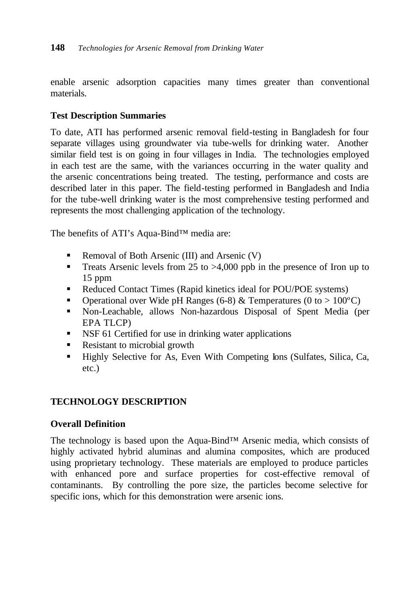enable arsenic adsorption capacities many times greater than conventional materials.

# **Test Description Summaries**

To date, ATI has performed arsenic removal field-testing in Bangladesh for four separate villages using groundwater via tube-wells for drinking water. Another similar field test is on going in four villages in India. The technologies employed in each test are the same, with the variances occurring in the water quality and the arsenic concentrations being treated. The testing, performance and costs are described later in this paper. The field-testing performed in Bangladesh and India for the tube-well drinking water is the most comprehensive testing performed and represents the most challenging application of the technology.

The benefits of ATI's Aqua-Bind™ media are:

- Removal of Both Arsenic (III) and Arsenic  $(V)$
- **Treats Arsenic levels from 25 to >4,000 ppb in the presence of Iron up to** 15 ppm
- Reduced Contact Times (Rapid kinetics ideal for POU/POE systems)
- **•** Operational over Wide pH Ranges (6-8) & Temperatures (0 to > 100°C)
- Non-Leachable, allows Non-hazardous Disposal of Spent Media (per EPA TLCP)
- **SEP 51** Certified for use in drinking water applications
- Resistant to microbial growth
- ß Highly Selective for As, Even With Competing Ions (Sulfates, Silica, Ca, etc.)

# **TECHNOLOGY DESCRIPTION**

# **Overall Definition**

The technology is based upon the Aqua-Bind™ Arsenic media, which consists of highly activated hybrid aluminas and alumina composites, which are produced using proprietary technology. These materials are employed to produce particles with enhanced pore and surface properties for cost-effective removal of contaminants. By controlling the pore size, the particles become selective for specific ions, which for this demonstration were arsenic ions.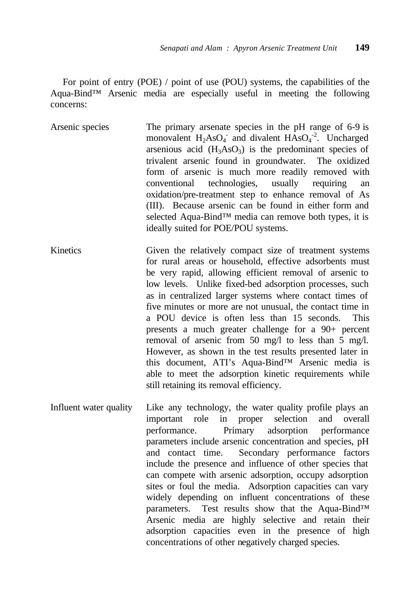For point of entry (POE) / point of use (POU) systems, the capabilities of the Aqua-Bind™ Arsenic media are especially useful in meeting the following concerns:

Arsenic species The primary arsenate species in the pH range of 6-9 is monovalent  $H_2AsO_4$  and divalent  $HAsO_4^{-2}$ . Uncharged arsenious acid  $(H_3AsO_3)$  is the predominant species of trivalent arsenic found in groundwater. The oxidized form of arsenic is much more readily removed with conventional technologies, usually requiring an oxidation/pre-treatment step to enhance removal of As (III). Because arsenic can be found in either form and selected Aqua-Bind™ media can remove both types, it is ideally suited for POE/POU systems.

- Kinetics Given the relatively compact size of treatment systems for rural areas or household, effective adsorbents must be very rapid, allowing efficient removal of arsenic to low levels. Unlike fixed-bed adsorption processes, such as in centralized larger systems where contact times of five minutes or more are not unusual, the contact time in a POU device is often less than 15 seconds. This presents a much greater challenge for a 90+ percent removal of arsenic from 50 mg/l to less than 5 mg/l. However, as shown in the test results presented later in this document, ATI's Aqua-Bind™ Arsenic media is able to meet the adsorption kinetic requirements while still retaining its removal efficiency.
- Influent water quality Like any technology, the water quality profile plays an important role in proper selection and overall performance. Primary adsorption performance parameters include arsenic concentration and species, pH and contact time. Secondary performance factors include the presence and influence of other species that can compete with arsenic adsorption, occupy adsorption sites or foul the media. Adsorption capacities can vary widely depending on influent concentrations of these parameters. Test results show that the Aqua-Bind™ Arsenic media are highly selective and retain their adsorption capacities even in the presence of high concentrations of other negatively charged species.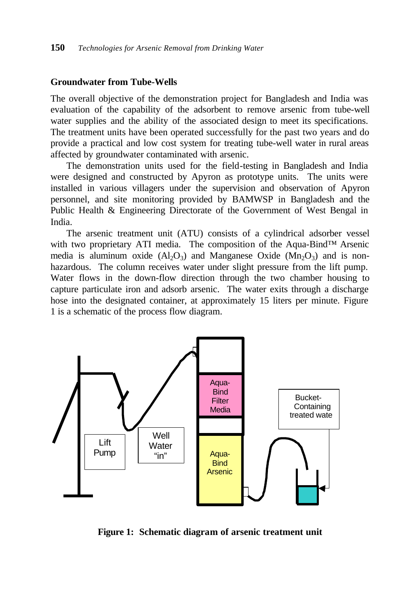#### **Groundwater from Tube-Wells**

The overall objective of the demonstration project for Bangladesh and India was evaluation of the capability of the adsorbent to remove arsenic from tube-well water supplies and the ability of the associated design to meet its specifications. The treatment units have been operated successfully for the past two years and do provide a practical and low cost system for treating tube-well water in rural areas affected by groundwater contaminated with arsenic.

The demonstration units used for the field-testing in Bangladesh and India were designed and constructed by Apyron as prototype units. The units were installed in various villagers under the supervision and observation of Apyron personnel, and site monitoring provided by BAMWSP in Bangladesh and the Public Health & Engineering Directorate of the Government of West Bengal in India.

The arsenic treatment unit (ATU) consists of a cylindrical adsorber vessel with two proprietary ATI media. The composition of the Aqua-Bind™ Arsenic media is aluminum oxide  $(A_1O_3)$  and Manganese Oxide  $(Mn_2O_3)$  and is nonhazardous. The column receives water under slight pressure from the lift pump. Water flows in the down-flow direction through the two chamber housing to capture particulate iron and adsorb arsenic. The water exits through a discharge hose into the designated container, at approximately 15 liters per minute. Figure 1 is a schematic of the process flow diagram.



**Figure 1: Schematic diagram of arsenic treatment unit**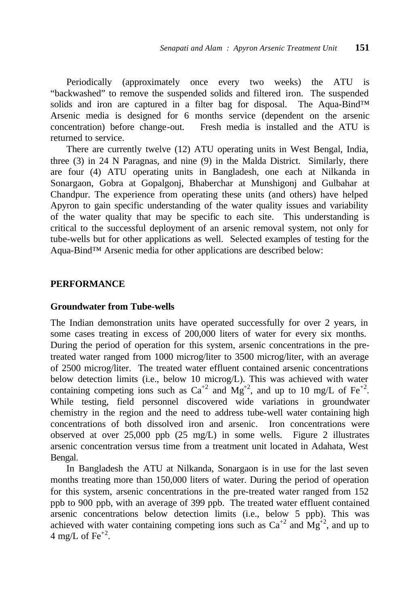Periodically (approximately once every two weeks) the ATU is "backwashed" to remove the suspended solids and filtered iron. The suspended solids and iron are captured in a filter bag for disposal. The Aqua-Bind™ Arsenic media is designed for 6 months service (dependent on the arsenic concentration) before change-out. Fresh media is installed and the ATU is returned to service.

There are currently twelve (12) ATU operating units in West Bengal, India, three (3) in 24 N Paragnas, and nine (9) in the Malda District. Similarly, there are four (4) ATU operating units in Bangladesh, one each at Nilkanda in Sonargaon, Gobra at Gopalgonj, Bhaberchar at Munshigonj and Gulbahar at Chandpur. The experience from operating these units (and others) have helped Apyron to gain specific understanding of the water quality issues and variability of the water quality that may be specific to each site. This understanding is critical to the successful deployment of an arsenic removal system, not only for tube-wells but for other applications as well. Selected examples of testing for the Aqua-Bind™ Arsenic media for other applications are described below:

#### **PERFORMANCE**

#### **Groundwater from Tube-wells**

The Indian demonstration units have operated successfully for over 2 years, in some cases treating in excess of 200,000 liters of water for every six months. During the period of operation for this system, arsenic concentrations in the pretreated water ranged from 1000 microg/liter to 3500 microg/liter, with an average of 2500 microg/liter. The treated water effluent contained arsenic concentrations below detection limits (i.e., below 10 microg/L). This was achieved with water containing competing ions such as  $Ca^{+2}$  and  $Mg^{+2}$ , and up to 10 mg/L of Fe<sup>+2</sup>. While testing, field personnel discovered wide variations in groundwater chemistry in the region and the need to address tube-well water containing high concentrations of both dissolved iron and arsenic. Iron concentrations were observed at over 25,000 ppb (25 mg/L) in some wells. Figure 2 illustrates arsenic concentration versus time from a treatment unit located in Adahata, West Bengal.

In Bangladesh the ATU at Nilkanda, Sonargaon is in use for the last seven months treating more than 150,000 liters of water. During the period of operation for this system, arsenic concentrations in the pre-treated water ranged from 152 ppb to 900 ppb, with an average of 399 ppb. The treated water effluent contained arsenic concentrations below detection limits (i.e., below 5 ppb). This was achieved with water containing competing ions such as  $Ca^{+2}$  and  $Mg^{+2}$ , and up to 4 mg/L of Fe<sup>+2</sup>.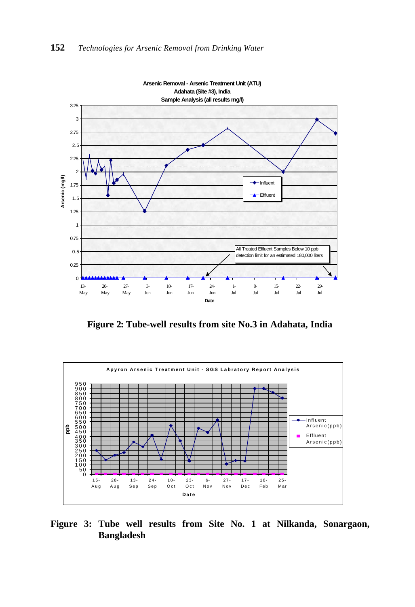

**Arsenic Removal - Arsenic Treatment Unit (ATU)**

**Figure 2: Tube-well results from site No.3 in Adahata, India**



**Figure 3: Tube well results from Site No. 1 at Nilkanda, Sonargaon, Bangladesh**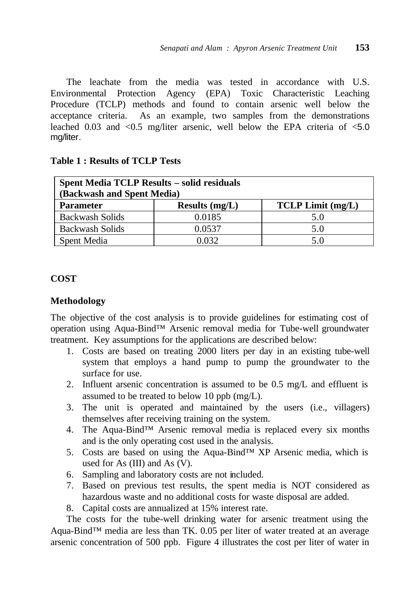The leachate from the media was tested in accordance with U.S. Environmental Protection Agency (EPA) Toxic Characteristic Leaching Procedure (TCLP) methods and found to contain arsenic well below the acceptance criteria. As an example, two samples from the demonstrations leached 0.03 and  $\langle 0.5 \rangle$  mg/liter arsenic, well below the EPA criteria of  $\langle 5.0 \rangle$ mg/liter.

| <b>Spent Media TCLP Results – solid residuals</b><br>(Backwash and Spent Media) |                  |                          |
|---------------------------------------------------------------------------------|------------------|--------------------------|
| <b>Parameter</b>                                                                | Results $(mg/L)$ | <b>TCLP Limit (mg/L)</b> |
| <b>Backwash Solids</b>                                                          | 0.0185           | 5.0                      |
| <b>Backwash Solids</b>                                                          | 0.0537           | 5.0                      |
| Spent Media                                                                     | 0.032            | 5.0                      |

#### **Table 1 : Results of TCLP Tests**

## **COST**

#### **Methodology**

The objective of the cost analysis is to provide guidelines for estimating cost of operation using Aqua-Bind™ Arsenic removal media for Tube-well groundwater treatment. Key assumptions for the applications are described below:

- 1. Costs are based on treating 2000 liters per day in an existing tube-well system that employs a hand pump to pump the groundwater to the surface for use.
- 2. Influent arsenic concentration is assumed to be 0.5 mg/L and effluent is assumed to be treated to below 10 ppb (mg/L).
- 3. The unit is operated and maintained by the users (i.e., villagers) themselves after receiving training on the system.
- 4. The Aqua-Bind™ Arsenic removal media is replaced every six months and is the only operating cost used in the analysis.
- 5. Costs are based on using the Aqua-Bind™ XP Arsenic media, which is used for As (III) and As (V).
- 6. Sampling and laboratory costs are not included.
- 7. Based on previous test results, the spent media is NOT considered as hazardous waste and no additional costs for waste disposal are added.
- 8. Capital costs are annualized at 15% interest rate.

The costs for the tube-well drinking water for arsenic treatment using the Aqua-Bind™ media are less than TK. 0.05 per liter of water treated at an average arsenic concentration of 500 ppb. Figure 4 illustrates the cost per liter of water in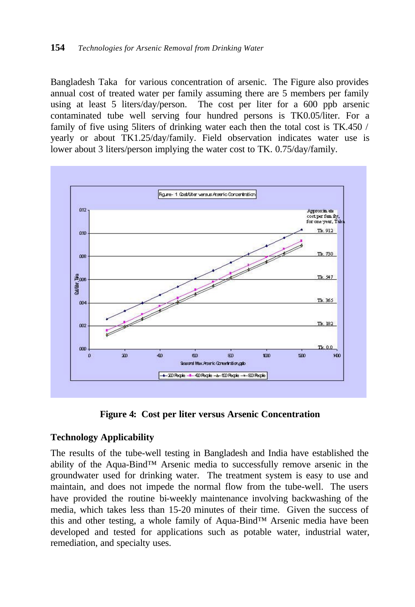Bangladesh Taka for various concentration of arsenic. The Figure also provides annual cost of treated water per family assuming there are 5 members per family using at least 5 liters/day/person. The cost per liter for a 600 ppb arsenic contaminated tube well serving four hundred persons is TK0.05/liter. For a family of five using 5liters of drinking water each then the total cost is TK.450 / yearly or about TK1.25/day/family. Field observation indicates water use is lower about 3 liters/person implying the water cost to TK. 0.75/day/family.



**Figure 4: Cost per liter versus Arsenic Concentration**

## **Technology Applicability**

The results of the tube-well testing in Bangladesh and India have established the ability of the Aqua-Bind™ Arsenic media to successfully remove arsenic in the groundwater used for drinking water. The treatment system is easy to use and maintain, and does not impede the normal flow from the tube-well. The users have provided the routine bi-weekly maintenance involving backwashing of the media, which takes less than 15-20 minutes of their time. Given the success of this and other testing, a whole family of Aqua-Bind™ Arsenic media have been developed and tested for applications such as potable water, industrial water, remediation, and specialty uses.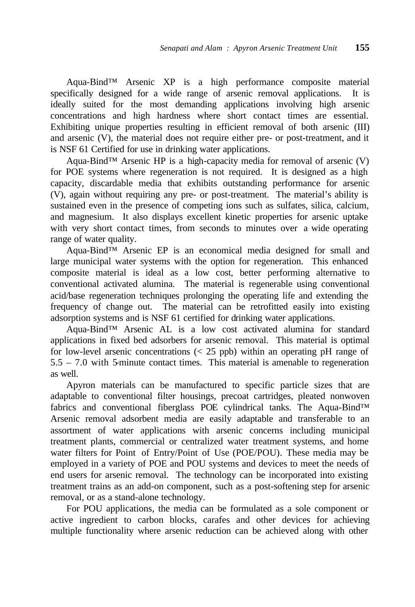Aqua-Bind™ Arsenic XP is a high performance composite material specifically designed for a wide range of arsenic removal applications. It is ideally suited for the most demanding applications involving high arsenic concentrations and high hardness where short contact times are essential. Exhibiting unique properties resulting in efficient removal of both arsenic (III) and arsenic (V), the material does not require either pre- or post-treatment, and it is NSF 61 Certified for use in drinking water applications.

Aqua-Bind™ Arsenic HP is a high-capacity media for removal of arsenic (V) for POE systems where regeneration is not required. It is designed as a high capacity, discardable media that exhibits outstanding performance for arsenic (V), again without requiring any pre- or post-treatment. The material's ability is sustained even in the presence of competing ions such as sulfates, silica, calcium, and magnesium. It also displays excellent kinetic properties for arsenic uptake with very short contact times, from seconds to minutes over a wide operating range of water quality.

Aqua-Bind™ Arsenic EP is an economical media designed for small and large municipal water systems with the option for regeneration. This enhanced composite material is ideal as a low cost, better performing alternative to conventional activated alumina. The material is regenerable using conventional acid/base regeneration techniques prolonging the operating life and extending the frequency of change out. The material can be retrofitted easily into existing adsorption systems and is NSF 61 certified for drinking water applications.

Aqua-Bind™ Arsenic AL is a low cost activated alumina for standard applications in fixed bed adsorbers for arsenic removal. This material is optimal for low-level arsenic concentrations  $\langle \langle 25 \rangle$  ppb) within an operating pH range of 5.5 – 7.0 with 5-minute contact times. This material is amenable to regeneration as well.

Apyron materials can be manufactured to specific particle sizes that are adaptable to conventional filter housings, precoat cartridges, pleated nonwoven fabrics and conventional fiberglass POE cylindrical tanks. The Aqua-Bind™ Arsenic removal adsorbent media are easily adaptable and transferable to an assortment of water applications with arsenic concerns including municipal treatment plants, commercial or centralized water treatment systems, and home water filters for Point of Entry/Point of Use (POE/POU). These media may be employed in a variety of POE and POU systems and devices to meet the needs of end users for arsenic removal. The technology can be incorporated into existing treatment trains as an add-on component, such as a post-softening step for arsenic removal, or as a stand-alone technology.

For POU applications, the media can be formulated as a sole component or active ingredient to carbon blocks, carafes and other devices for achieving multiple functionality where arsenic reduction can be achieved along with other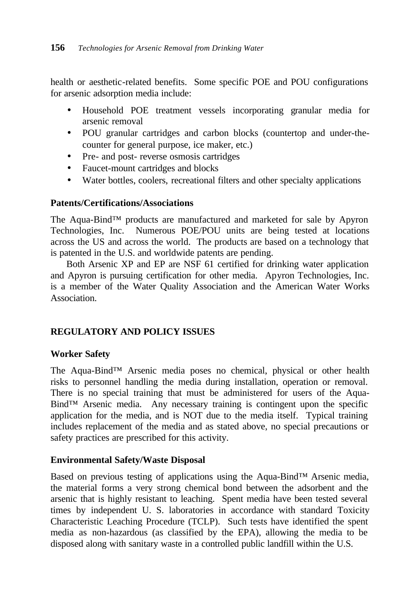health or aesthetic-related benefits. Some specific POE and POU configurations for arsenic adsorption media include:

- Household POE treatment vessels incorporating granular media for arsenic removal
- POU granular cartridges and carbon blocks (countertop and under-thecounter for general purpose, ice maker, etc.)
- Pre- and post- reverse osmosis cartridges
- Faucet-mount cartridges and blocks
- Water bottles, coolers, recreational filters and other specialty applications

## **Patents/Certifications/Associations**

The Aqua-Bind™ products are manufactured and marketed for sale by Apyron Technologies, Inc. Numerous POE/POU units are being tested at locations across the US and across the world. The products are based on a technology that is patented in the U.S. and worldwide patents are pending.

Both Arsenic XP and EP are NSF 61 certified for drinking water application and Apyron is pursuing certification for other media. Apyron Technologies, Inc. is a member of the Water Quality Association and the American Water Works Association.

# **REGULATORY AND POLICY ISSUES**

# **Worker Safety**

The Aqua-Bind™ Arsenic media poses no chemical, physical or other health risks to personnel handling the media during installation, operation or removal. There is no special training that must be administered for users of the Aqua-Bind™ Arsenic media. Any necessary training is contingent upon the specific application for the media, and is NOT due to the media itself. Typical training includes replacement of the media and as stated above, no special precautions or safety practices are prescribed for this activity.

## **Environmental Safety/Waste Disposal**

Based on previous testing of applications using the Aqua-Bind™ Arsenic media, the material forms a very strong chemical bond between the adsorbent and the arsenic that is highly resistant to leaching. Spent media have been tested several times by independent U. S. laboratories in accordance with standard Toxicity Characteristic Leaching Procedure (TCLP). Such tests have identified the spent media as non-hazardous (as classified by the EPA), allowing the media to be disposed along with sanitary waste in a controlled public landfill within the U.S.